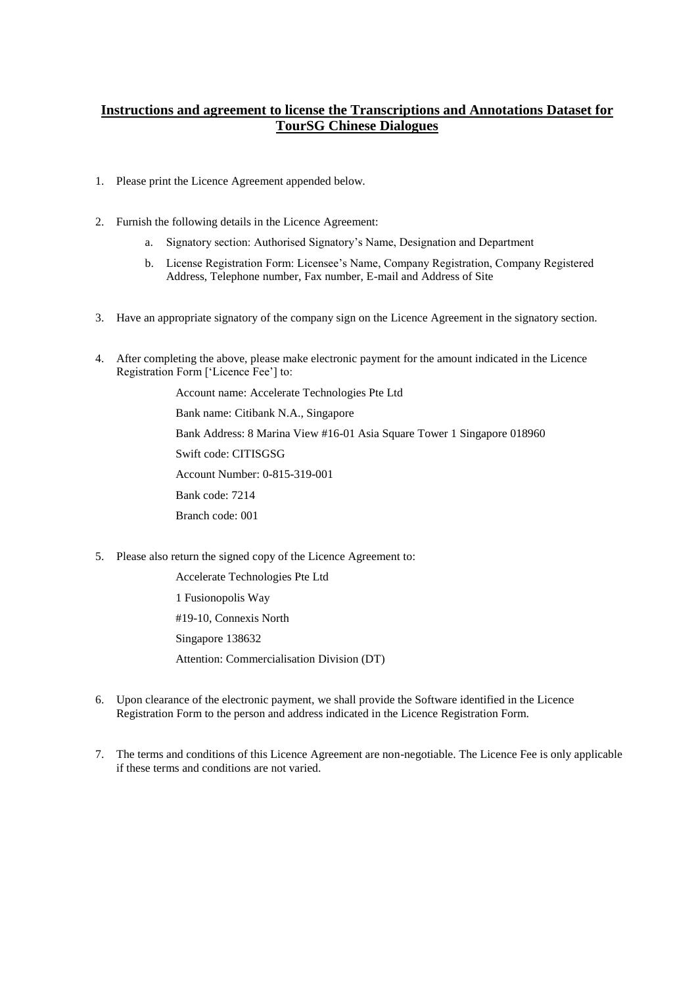# **Instructions and agreement to license the Transcriptions and Annotations Dataset for TourSG Chinese Dialogues**

- 1. Please print the Licence Agreement appended below.
- 2. Furnish the following details in the Licence Agreement:
	- a. Signatory section: Authorised Signatory's Name, Designation and Department
	- b. License Registration Form: Licensee's Name, Company Registration, Company Registered Address, Telephone number, Fax number, E-mail and Address of Site
- 3. Have an appropriate signatory of the company sign on the Licence Agreement in the signatory section.
- 4. After completing the above, please make electronic payment for the amount indicated in the Licence Registration Form ['Licence Fee'] to:

Account name: Accelerate Technologies Pte Ltd Bank name: Citibank N.A., Singapore Bank Address: 8 Marina View #16-01 Asia Square Tower 1 Singapore 018960 Swift code: CITISGSG Account Number: 0-815-319-001 Bank code: 7214 Branch code: 001

5. Please also return the signed copy of the Licence Agreement to:

Accelerate Technologies Pte Ltd 1 Fusionopolis Way #19-10, Connexis North Singapore 138632 Attention: Commercialisation Division (DT)

- 6. Upon clearance of the electronic payment, we shall provide the Software identified in the Licence Registration Form to the person and address indicated in the Licence Registration Form.
- 7. The terms and conditions of this Licence Agreement are non-negotiable. The Licence Fee is only applicable if these terms and conditions are not varied.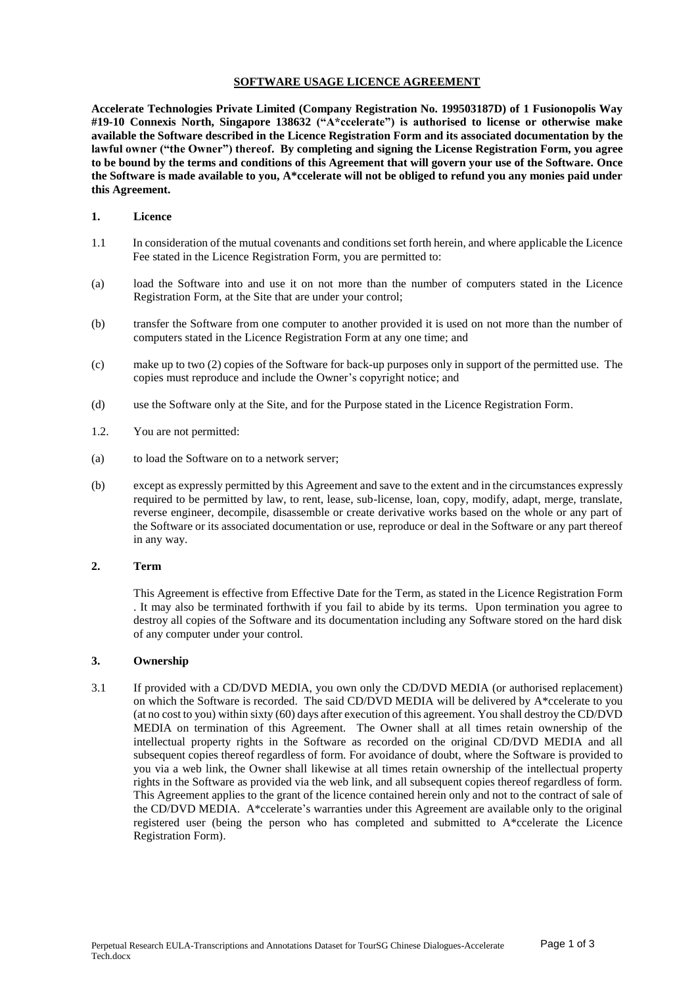### **SOFTWARE USAGE LICENCE AGREEMENT**

**Accelerate Technologies Private Limited (Company Registration No. 199503187D) of 1 Fusionopolis Way #19-10 Connexis North, Singapore 138632 ("A\*ccelerate") is authorised to license or otherwise make available the Software described in the Licence Registration Form and its associated documentation by the lawful owner ("the Owner") thereof. By completing and signing the License Registration Form, you agree to be bound by the terms and conditions of this Agreement that will govern your use of the Software. Once the Software is made available to you, A\*ccelerate will not be obliged to refund you any monies paid under this Agreement.** 

#### **1. Licence**

- 1.1 In consideration of the mutual covenants and conditions set forth herein, and where applicable the Licence Fee stated in the Licence Registration Form, you are permitted to:
- (a) load the Software into and use it on not more than the number of computers stated in the Licence Registration Form, at the Site that are under your control;
- (b) transfer the Software from one computer to another provided it is used on not more than the number of computers stated in the Licence Registration Form at any one time; and
- (c) make up to two (2) copies of the Software for back-up purposes only in support of the permitted use. The copies must reproduce and include the Owner's copyright notice; and
- (d) use the Software only at the Site, and for the Purpose stated in the Licence Registration Form.
- 1.2. You are not permitted:
- (a) to load the Software on to a network server;
- (b) except as expressly permitted by this Agreement and save to the extent and in the circumstances expressly required to be permitted by law, to rent, lease, sub-license, loan, copy, modify, adapt, merge, translate, reverse engineer, decompile, disassemble or create derivative works based on the whole or any part of the Software or its associated documentation or use, reproduce or deal in the Software or any part thereof in any way.

#### **2. Term**

This Agreement is effective from Effective Date for the Term, as stated in the Licence Registration Form . It may also be terminated forthwith if you fail to abide by its terms. Upon termination you agree to destroy all copies of the Software and its documentation including any Software stored on the hard disk of any computer under your control.

#### **3. Ownership**

3.1 If provided with a CD/DVD MEDIA, you own only the CD/DVD MEDIA (or authorised replacement) on which the Software is recorded. The said CD/DVD MEDIA will be delivered by A\*ccelerate to you (at no cost to you) within sixty (60) days after execution of this agreement. You shall destroy the CD/DVD MEDIA on termination of this Agreement. The Owner shall at all times retain ownership of the intellectual property rights in the Software as recorded on the original CD/DVD MEDIA and all subsequent copies thereof regardless of form. For avoidance of doubt, where the Software is provided to you via a web link, the Owner shall likewise at all times retain ownership of the intellectual property rights in the Software as provided via the web link, and all subsequent copies thereof regardless of form. This Agreement applies to the grant of the licence contained herein only and not to the contract of sale of the CD/DVD MEDIA. A\*ccelerate's warranties under this Agreement are available only to the original registered user (being the person who has completed and submitted to A\*ccelerate the Licence Registration Form).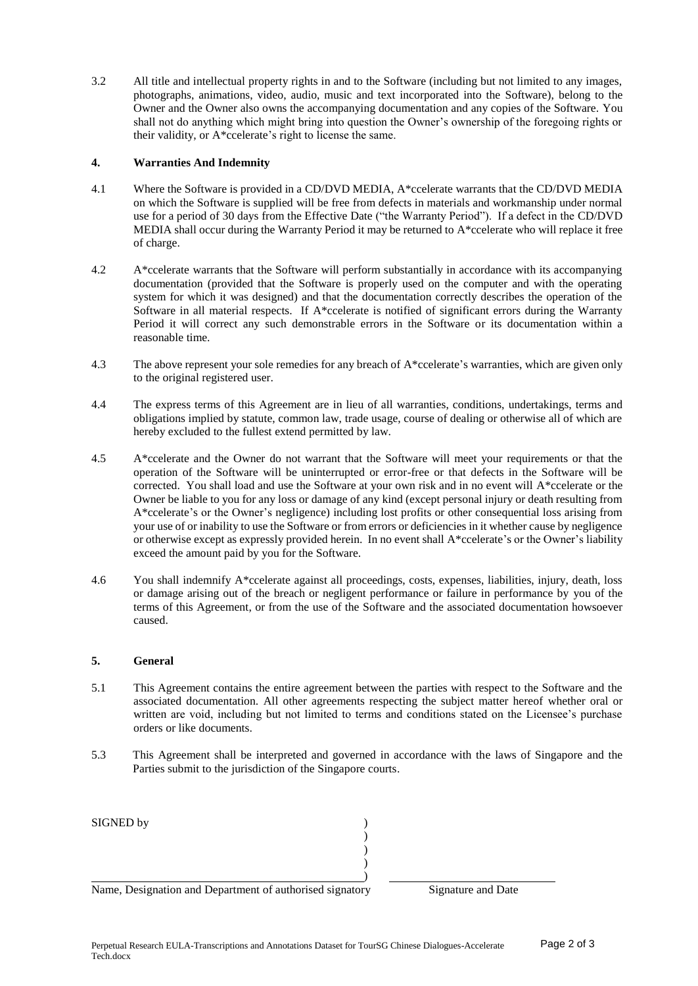3.2 All title and intellectual property rights in and to the Software (including but not limited to any images, photographs, animations, video, audio, music and text incorporated into the Software), belong to the Owner and the Owner also owns the accompanying documentation and any copies of the Software. You shall not do anything which might bring into question the Owner's ownership of the foregoing rights or their validity, or A\*ccelerate's right to license the same.

## **4. Warranties And Indemnity**

- 4.1 Where the Software is provided in a CD/DVD MEDIA, A\*ccelerate warrants that the CD/DVD MEDIA on which the Software is supplied will be free from defects in materials and workmanship under normal use for a period of 30 days from the Effective Date ("the Warranty Period"). If a defect in the CD/DVD MEDIA shall occur during the Warranty Period it may be returned to A\*ccelerate who will replace it free of charge.
- 4.2 A\*ccelerate warrants that the Software will perform substantially in accordance with its accompanying documentation (provided that the Software is properly used on the computer and with the operating system for which it was designed) and that the documentation correctly describes the operation of the Software in all material respects. If A\*ccelerate is notified of significant errors during the Warranty Period it will correct any such demonstrable errors in the Software or its documentation within a reasonable time.
- 4.3 The above represent your sole remedies for any breach of A\*ccelerate's warranties, which are given only to the original registered user.
- 4.4 The express terms of this Agreement are in lieu of all warranties, conditions, undertakings, terms and obligations implied by statute, common law, trade usage, course of dealing or otherwise all of which are hereby excluded to the fullest extend permitted by law.
- 4.5 A\*ccelerate and the Owner do not warrant that the Software will meet your requirements or that the operation of the Software will be uninterrupted or error-free or that defects in the Software will be corrected. You shall load and use the Software at your own risk and in no event will A\*ccelerate or the Owner be liable to you for any loss or damage of any kind (except personal injury or death resulting from A\*ccelerate's or the Owner's negligence) including lost profits or other consequential loss arising from your use of or inability to use the Software or from errors or deficiencies in it whether cause by negligence or otherwise except as expressly provided herein. In no event shall A\*ccelerate's or the Owner's liability exceed the amount paid by you for the Software.
- 4.6 You shall indemnify A\*ccelerate against all proceedings, costs, expenses, liabilities, injury, death, loss or damage arising out of the breach or negligent performance or failure in performance by you of the terms of this Agreement, or from the use of the Software and the associated documentation howsoever caused.

### **5. General**

- 5.1 This Agreement contains the entire agreement between the parties with respect to the Software and the associated documentation. All other agreements respecting the subject matter hereof whether oral or written are void, including but not limited to terms and conditions stated on the Licensee's purchase orders or like documents.
- 5.3 This Agreement shall be interpreted and governed in accordance with the laws of Singapore and the Parties submit to the jurisdiction of the Singapore courts.

| SIGNED by                                                |                    |
|----------------------------------------------------------|--------------------|
|                                                          |                    |
|                                                          |                    |
|                                                          |                    |
|                                                          |                    |
| Name, Designation and Department of authorised signatory | Signature and Date |